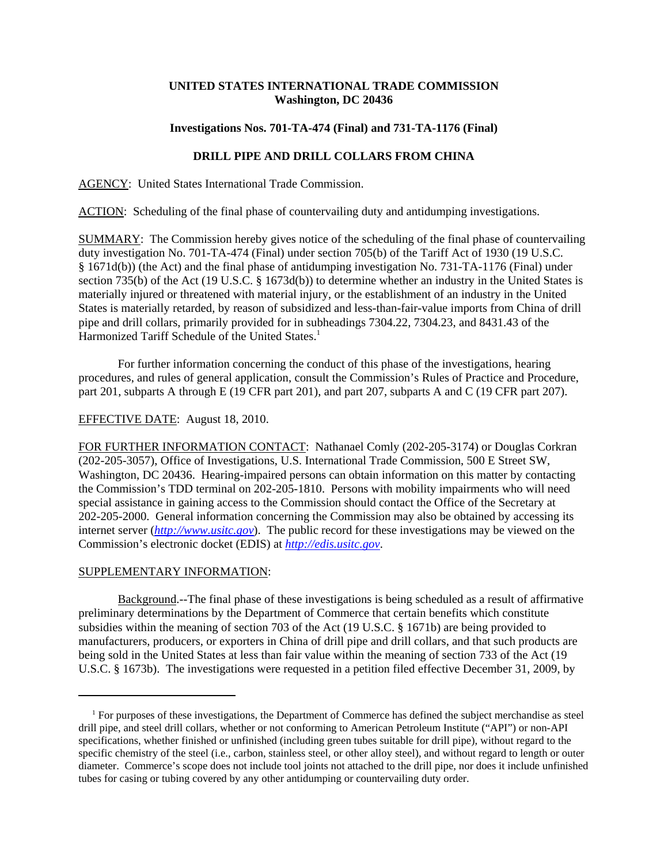# **UNITED STATES INTERNATIONAL TRADE COMMISSION Washington, DC 20436**

#### **Investigations Nos. 701-TA-474 (Final) and 731-TA-1176 (Final)**

# **DRILL PIPE AND DRILL COLLARS FROM CHINA**

AGENCY: United States International Trade Commission.

ACTION: Scheduling of the final phase of countervailing duty and antidumping investigations.

SUMMARY: The Commission hereby gives notice of the scheduling of the final phase of countervailing duty investigation No. 701-TA-474 (Final) under section 705(b) of the Tariff Act of 1930 (19 U.S.C. § 1671d(b)) (the Act) and the final phase of antidumping investigation No. 731-TA-1176 (Final) under section 735(b) of the Act (19 U.S.C. § 1673d(b)) to determine whether an industry in the United States is materially injured or threatened with material injury, or the establishment of an industry in the United States is materially retarded, by reason of subsidized and less-than-fair-value imports from China of drill pipe and drill collars, primarily provided for in subheadings 7304.22, 7304.23, and 8431.43 of the Harmonized Tariff Schedule of the United States.<sup>1</sup>

For further information concerning the conduct of this phase of the investigations, hearing procedures, and rules of general application, consult the Commission's Rules of Practice and Procedure, part 201, subparts A through E (19 CFR part 201), and part 207, subparts A and C (19 CFR part 207).

# EFFECTIVE DATE: August 18, 2010.

FOR FURTHER INFORMATION CONTACT: Nathanael Comly (202-205-3174) or Douglas Corkran (202-205-3057), Office of Investigations, U.S. International Trade Commission, 500 E Street SW, Washington, DC 20436. Hearing-impaired persons can obtain information on this matter by contacting the Commission's TDD terminal on 202-205-1810. Persons with mobility impairments who will need special assistance in gaining access to the Commission should contact the Office of the Secretary at 202-205-2000. General information concerning the Commission may also be obtained by accessing its internet server (*http://www.usitc.gov*). The public record for these investigations may be viewed on the Commission's electronic docket (EDIS) at *http://edis.usitc.gov*.

#### SUPPLEMENTARY INFORMATION:

Background.--The final phase of these investigations is being scheduled as a result of affirmative preliminary determinations by the Department of Commerce that certain benefits which constitute subsidies within the meaning of section 703 of the Act (19 U.S.C. § 1671b) are being provided to manufacturers, producers, or exporters in China of drill pipe and drill collars, and that such products are being sold in the United States at less than fair value within the meaning of section 733 of the Act (19 U.S.C. § 1673b). The investigations were requested in a petition filed effective December 31, 2009, by

 <sup>1</sup> For purposes of these investigations, the Department of Commerce has defined the subject merchandise as steel drill pipe, and steel drill collars, whether or not conforming to American Petroleum Institute ("API") or non-API specifications, whether finished or unfinished (including green tubes suitable for drill pipe), without regard to the specific chemistry of the steel (i.e., carbon, stainless steel, or other alloy steel), and without regard to length or outer diameter. Commerce's scope does not include tool joints not attached to the drill pipe, nor does it include unfinished tubes for casing or tubing covered by any other antidumping or countervailing duty order.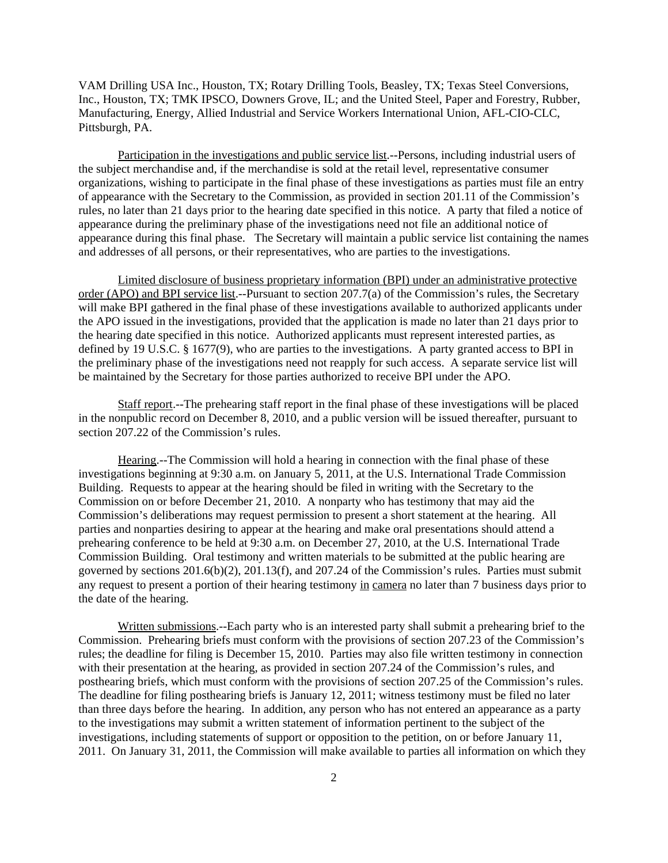VAM Drilling USA Inc., Houston, TX; Rotary Drilling Tools, Beasley, TX; Texas Steel Conversions, Inc., Houston, TX; TMK IPSCO, Downers Grove, IL; and the United Steel, Paper and Forestry, Rubber, Manufacturing, Energy, Allied Industrial and Service Workers International Union, AFL-CIO-CLC, Pittsburgh, PA.

Participation in the investigations and public service list.--Persons, including industrial users of the subject merchandise and, if the merchandise is sold at the retail level, representative consumer organizations, wishing to participate in the final phase of these investigations as parties must file an entry of appearance with the Secretary to the Commission, as provided in section 201.11 of the Commission's rules, no later than 21 days prior to the hearing date specified in this notice. A party that filed a notice of appearance during the preliminary phase of the investigations need not file an additional notice of appearance during this final phase. The Secretary will maintain a public service list containing the names and addresses of all persons, or their representatives, who are parties to the investigations.

Limited disclosure of business proprietary information (BPI) under an administrative protective order (APO) and BPI service list.--Pursuant to section 207.7(a) of the Commission's rules, the Secretary will make BPI gathered in the final phase of these investigations available to authorized applicants under the APO issued in the investigations, provided that the application is made no later than 21 days prior to the hearing date specified in this notice. Authorized applicants must represent interested parties, as defined by 19 U.S.C. § 1677(9), who are parties to the investigations. A party granted access to BPI in the preliminary phase of the investigations need not reapply for such access. A separate service list will be maintained by the Secretary for those parties authorized to receive BPI under the APO.

Staff report.--The prehearing staff report in the final phase of these investigations will be placed in the nonpublic record on December 8, 2010, and a public version will be issued thereafter, pursuant to section 207.22 of the Commission's rules.

Hearing.--The Commission will hold a hearing in connection with the final phase of these investigations beginning at 9:30 a.m. on January 5, 2011, at the U.S. International Trade Commission Building. Requests to appear at the hearing should be filed in writing with the Secretary to the Commission on or before December 21, 2010. A nonparty who has testimony that may aid the Commission's deliberations may request permission to present a short statement at the hearing. All parties and nonparties desiring to appear at the hearing and make oral presentations should attend a prehearing conference to be held at 9:30 a.m. on December 27, 2010, at the U.S. International Trade Commission Building. Oral testimony and written materials to be submitted at the public hearing are governed by sections 201.6(b)(2), 201.13(f), and 207.24 of the Commission's rules. Parties must submit any request to present a portion of their hearing testimony in camera no later than 7 business days prior to the date of the hearing.

Written submissions.--Each party who is an interested party shall submit a prehearing brief to the Commission. Prehearing briefs must conform with the provisions of section 207.23 of the Commission's rules; the deadline for filing is December 15, 2010. Parties may also file written testimony in connection with their presentation at the hearing, as provided in section 207.24 of the Commission's rules, and posthearing briefs, which must conform with the provisions of section 207.25 of the Commission's rules. The deadline for filing posthearing briefs is January 12, 2011; witness testimony must be filed no later than three days before the hearing. In addition, any person who has not entered an appearance as a party to the investigations may submit a written statement of information pertinent to the subject of the investigations, including statements of support or opposition to the petition, on or before January 11, 2011. On January 31, 2011, the Commission will make available to parties all information on which they